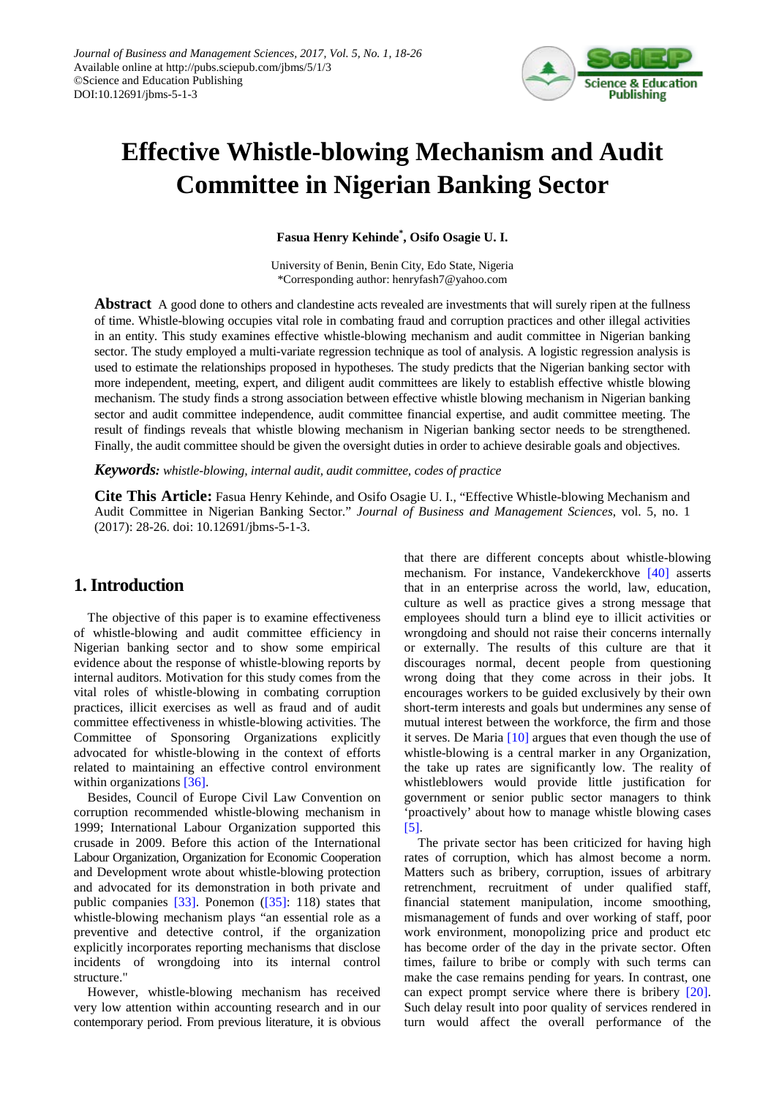

# **Effective Whistle-blowing Mechanism and Audit Committee in Nigerian Banking Sector**

**Fasua Henry Kehinde\* , Osifo Osagie U. I.**

University of Benin, Benin City, Edo State, Nigeria \*Corresponding author: henryfash7@yahoo.com

**Abstract** A good done to others and clandestine acts revealed are investments that will surely ripen at the fullness of time. Whistle-blowing occupies vital role in combating fraud and corruption practices and other illegal activities in an entity. This study examines effective whistle-blowing mechanism and audit committee in Nigerian banking sector. The study employed a multi-variate regression technique as tool of analysis. A logistic regression analysis is used to estimate the relationships proposed in hypotheses. The study predicts that the Nigerian banking sector with more independent, meeting, expert, and diligent audit committees are likely to establish effective whistle blowing mechanism. The study finds a strong association between effective whistle blowing mechanism in Nigerian banking sector and audit committee independence, audit committee financial expertise, and audit committee meeting. The result of findings reveals that whistle blowing mechanism in Nigerian banking sector needs to be strengthened. Finally, the audit committee should be given the oversight duties in order to achieve desirable goals and objectives.

*Keywords: whistle-blowing, internal audit, audit committee, codes of practice*

**Cite This Article:** Fasua Henry Kehinde, and Osifo Osagie U. I., "Effective Whistle-blowing Mechanism and Audit Committee in Nigerian Banking Sector." *Journal of Business and Management Sciences*, vol. 5, no. 1 (2017): 28-26. doi: 10.12691/jbms-5-1-3.

## **1. Introduction**

The objective of this paper is to examine effectiveness of whistle-blowing and audit committee efficiency in Nigerian banking sector and to show some empirical evidence about the response of whistle-blowing reports by internal auditors. Motivation for this study comes from the vital roles of whistle-blowing in combating corruption practices, illicit exercises as well as fraud and of audit committee effectiveness in whistle-blowing activities. The Committee of Sponsoring Organizations explicitly advocated for whistle-blowing in the context of efforts related to maintaining an effective control environment within organizations [\[36\].](#page-8-0)

Besides, Council of Europe Civil Law Convention on corruption recommended whistle-blowing mechanism in 1999; International Labour Organization supported this crusade in 2009. Before this action of the International Labour Organization, Organization for Economic Cooperation and Development wrote about whistle-blowing protection and advocated for its demonstration in both private and public companies [\[33\].](#page-8-1) Ponemon [\(\[35\]:](#page-8-2) 118) states that whistle-blowing mechanism plays "an essential role as a preventive and detective control, if the organization explicitly incorporates reporting mechanisms that disclose incidents of wrongdoing into its internal control structure."

However, whistle-blowing mechanism has received very low attention within accounting research and in our contemporary period. From previous literature, it is obvious that there are different concepts about whistle-blowing mechanism. For instance, Vandekerckhove [\[40\]](#page-8-3) asserts that in an enterprise across the world, law, education, culture as well as practice gives a strong message that employees should turn a blind eye to illicit activities or wrongdoing and should not raise their concerns internally or externally. The results of this culture are that it discourages normal, decent people from questioning wrong doing that they come across in their jobs. It encourages workers to be guided exclusively by their own short-term interests and goals but undermines any sense of mutual interest between the workforce, the firm and those it serves. De Maria [\[10\]](#page-7-0) argues that even though the use of whistle-blowing is a central marker in any Organization, the take up rates are significantly low. The reality of whistleblowers would provide little justification for government or senior public sector managers to think 'proactively' about how to manage whistle blowing cases [\[5\].](#page-7-1)

The private sector has been criticized for having high rates of corruption, which has almost become a norm. Matters such as bribery, corruption, issues of arbitrary retrenchment, recruitment of under qualified staff, financial statement manipulation, income smoothing, mismanagement of funds and over working of staff, poor work environment, monopolizing price and product etc has become order of the day in the private sector. Often times, failure to bribe or comply with such terms can make the case remains pending for years. In contrast, one can expect prompt service where there is bribery [\[20\].](#page-7-2) Such delay result into poor quality of services rendered in turn would affect the overall performance of the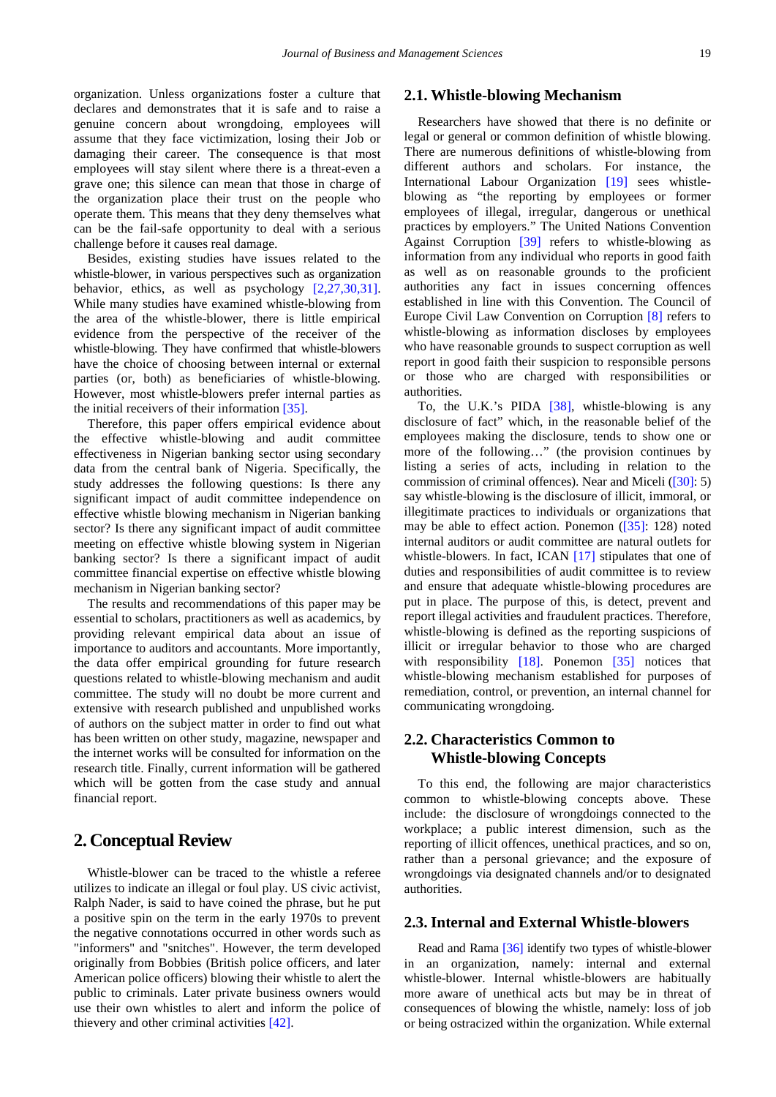organization. Unless organizations foster a culture that declares and demonstrates that it is safe and to raise a genuine concern about wrongdoing, employees will assume that they face victimization, losing their Job or damaging their career. The consequence is that most employees will stay silent where there is a threat-even a grave one; this silence can mean that those in charge of the organization place their trust on the people who operate them. This means that they deny themselves what can be the fail-safe opportunity to deal with a serious challenge before it causes real damage.

Besides, existing studies have issues related to the whistle-blower, in various perspectives such as organization behavior, ethics, as well as psychology [\[2,27,30,31\].](#page-7-3) While many studies have examined whistle-blowing from the area of the whistle-blower, there is little empirical evidence from the perspective of the receiver of the whistle-blowing. They have confirmed that whistle-blowers have the choice of choosing between internal or external parties (or, both) as beneficiaries of whistle-blowing. However, most whistle-blowers prefer internal parties as the initial receivers of their information [\[35\].](#page-8-2)

Therefore, this paper offers empirical evidence about the effective whistle-blowing and audit committee effectiveness in Nigerian banking sector using secondary data from the central bank of Nigeria. Specifically, the study addresses the following questions: Is there any significant impact of audit committee independence on effective whistle blowing mechanism in Nigerian banking sector? Is there any significant impact of audit committee meeting on effective whistle blowing system in Nigerian banking sector? Is there a significant impact of audit committee financial expertise on effective whistle blowing mechanism in Nigerian banking sector?

The results and recommendations of this paper may be essential to scholars, practitioners as well as academics, by providing relevant empirical data about an issue of importance to auditors and accountants. More importantly, the data offer empirical grounding for future research questions related to whistle-blowing mechanism and audit committee. The study will no doubt be more current and extensive with research published and unpublished works of authors on the subject matter in order to find out what has been written on other study, magazine, newspaper and the internet works will be consulted for information on the research title. Finally, current information will be gathered which will be gotten from the case study and annual financial report.

## **2. Conceptual Review**

Whistle-blower can be traced to the whistle a referee utilizes to indicate an illegal or foul play. US civic activist, Ralph Nader, is said to have coined the phrase, but he put a positive spin on the term in the early 1970s to prevent the negative connotations occurred in other words such as "informers" and "snitches". However, the term developed originally from Bobbies (British police officers, and later American police officers) blowing their whistle to alert the public to criminals. Later private business owners would use their own whistles to alert and inform the police of thievery and other criminal activities [\[42\].](#page-8-4)

#### **2.1. Whistle-blowing Mechanism**

Researchers have showed that there is no definite or legal or general or common definition of whistle blowing. There are numerous definitions of whistle-blowing from different authors and scholars. For instance, the International Labour Organization [\[19\]](#page-7-4) sees whistleblowing as "the reporting by employees or former employees of illegal, irregular, dangerous or unethical practices by employers." The United Nations Convention Against Corruption [\[39\]](#page-8-5) refers to whistle-blowing as information from any individual who reports in good faith as well as on reasonable grounds to the proficient authorities any fact in issues concerning offences established in line with this Convention. The Council of Europe Civil Law Convention on Corruption [\[8\]](#page-7-5) refers to whistle-blowing as information discloses by employees who have reasonable grounds to suspect corruption as well report in good faith their suspicion to responsible persons or those who are charged with responsibilities or authorities.

To, the U.K.'s PIDA [\[38\],](#page-8-6) whistle-blowing is any disclosure of fact" which, in the reasonable belief of the employees making the disclosure, tends to show one or more of the following…" (the provision continues by listing a series of acts, including in relation to the commission of criminal offences). Near and Miceli [\(\[30\]:](#page-8-7) 5) say whistle-blowing is the disclosure of illicit, immoral, or illegitimate practices to individuals or organizations that may be able to effect action. Ponemon [\(\[35\]:](#page-8-2) 128) noted internal auditors or audit committee are natural outlets for whistle-blowers. In fact, ICAN [\[17\]](#page-7-6) stipulates that one of duties and responsibilities of audit committee is to review and ensure that adequate whistle-blowing procedures are put in place. The purpose of this, is detect, prevent and report illegal activities and fraudulent practices. Therefore, whistle-blowing is defined as the reporting suspicions of illicit or irregular behavior to those who are charged with responsibility [\[18\].](#page-7-7) Ponemon [\[35\]](#page-8-2) notices that whistle-blowing mechanism established for purposes of remediation, control, or prevention, an internal channel for communicating wrongdoing.

## **2.2. Characteristics Common to Whistle-blowing Concepts**

To this end, the following are major characteristics common to whistle-blowing concepts above. These include: the disclosure of wrongdoings connected to the workplace; a public interest dimension, such as the reporting of illicit offences, unethical practices, and so on, rather than a personal grievance; and the exposure of wrongdoings via designated channels and/or to designated authorities.

#### **2.3. Internal and External Whistle-blowers**

Read and Rama [\[36\]](#page-8-0) identify two types of whistle-blower in an organization, namely: internal and external whistle-blower. Internal whistle-blowers are habitually more aware of unethical acts but may be in threat of consequences of blowing the whistle, namely: loss of job or being ostracized within the organization. While external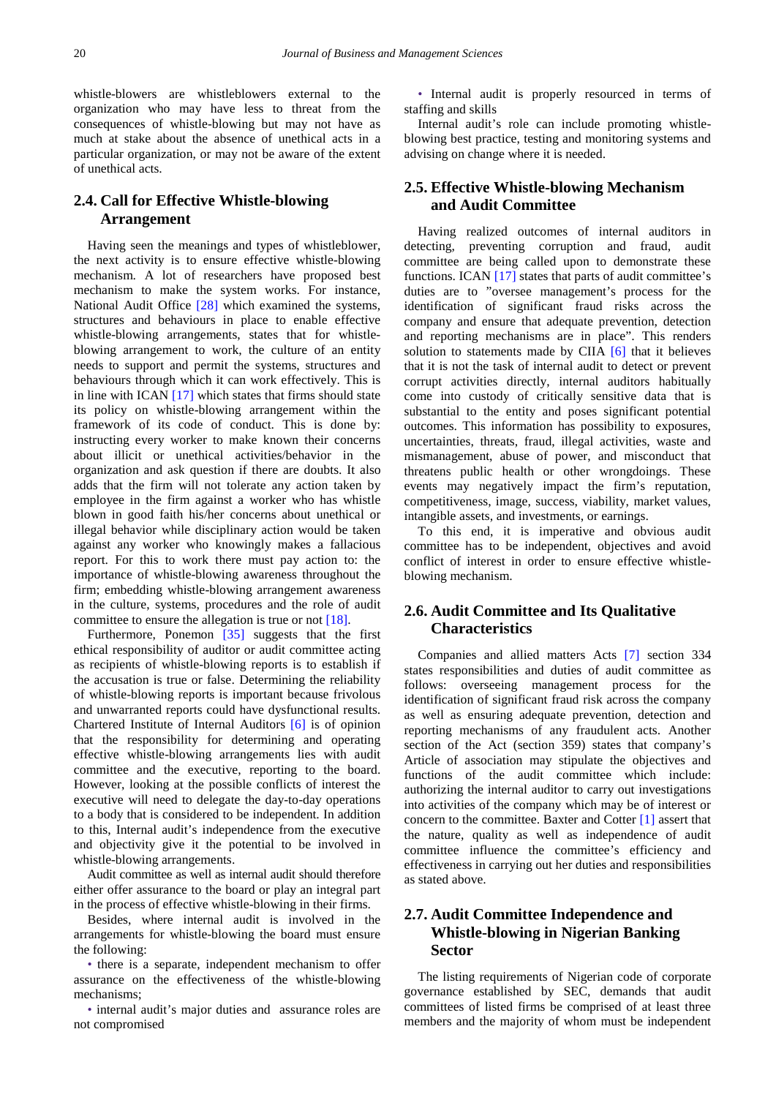whistle-blowers are whistleblowers external to the organization who may have less to threat from the consequences of whistle-blowing but may not have as much at stake about the absence of unethical acts in a particular organization, or may not be aware of the extent of unethical acts.

## **2.4. Call for Effective Whistle-blowing Arrangement**

Having seen the meanings and types of whistleblower, the next activity is to ensure effective whistle-blowing mechanism. A lot of researchers have proposed best mechanism to make the system works. For instance, National Audit Office [\[28\]](#page-8-8) which examined the systems, structures and behaviours in place to enable effective whistle-blowing arrangements, states that for whistleblowing arrangement to work, the culture of an entity needs to support and permit the systems, structures and behaviours through which it can work effectively. This is in line with ICAN [\[17\]](#page-7-6) which states that firms should state its policy on whistle-blowing arrangement within the framework of its code of conduct. This is done by: instructing every worker to make known their concerns about illicit or unethical activities/behavior in the organization and ask question if there are doubts. It also adds that the firm will not tolerate any action taken by employee in the firm against a worker who has whistle blown in good faith his/her concerns about unethical or illegal behavior while disciplinary action would be taken against any worker who knowingly makes a fallacious report. For this to work there must pay action to: the importance of whistle-blowing awareness throughout the firm; embedding whistle-blowing arrangement awareness in the culture, systems, procedures and the role of audit committee to ensure the allegation is true or not [\[18\].](#page-7-7)

Furthermore, Ponemon [\[35\]](#page-8-2) suggests that the first ethical responsibility of auditor or audit committee acting as recipients of whistle-blowing reports is to establish if the accusation is true or false. Determining the reliability of whistle-blowing reports is important because frivolous and unwarranted reports could have dysfunctional results. Chartered Institute of Internal Auditors [\[6\]](#page-7-8) is of opinion that the responsibility for determining and operating effective whistle-blowing arrangements lies with audit committee and the executive, reporting to the board. However, looking at the possible conflicts of interest the executive will need to delegate the day-to-day operations to a body that is considered to be independent. In addition to this, Internal audit's independence from the executive and objectivity give it the potential to be involved in whistle-blowing arrangements.

Audit committee as well as internal audit should therefore either offer assurance to the board or play an integral part in the process of effective whistle-blowing in their firms.

Besides, where internal audit is involved in the arrangements for whistle-blowing the board must ensure the following:

• there is a separate, independent mechanism to offer assurance on the effectiveness of the whistle-blowing mechanisms;

• internal audit's major duties and assurance roles are not compromised

• Internal audit is properly resourced in terms of staffing and skills

Internal audit's role can include promoting whistleblowing best practice, testing and monitoring systems and advising on change where it is needed.

## **2.5. Effective Whistle-blowing Mechanism and Audit Committee**

Having realized outcomes of internal auditors in detecting, preventing corruption and fraud, audit committee are being called upon to demonstrate these functions. ICAN [\[17\]](#page-7-6) states that parts of audit committee's duties are to "oversee management's process for the identification of significant fraud risks across the company and ensure that adequate prevention, detection and reporting mechanisms are in place". This renders solution to statements made by CIIA [\[6\]](#page-7-8) that it believes that it is not the task of internal audit to detect or prevent corrupt activities directly, internal auditors habitually come into custody of critically sensitive data that is substantial to the entity and poses significant potential outcomes. This information has possibility to exposures, uncertainties, threats, fraud, illegal activities, waste and mismanagement, abuse of power, and misconduct that threatens public health or other wrongdoings. These events may negatively impact the firm's reputation, competitiveness, image, success, viability, market values, intangible assets, and investments, or earnings.

To this end, it is imperative and obvious audit committee has to be independent, objectives and avoid conflict of interest in order to ensure effective whistleblowing mechanism.

## **2.6. Audit Committee and Its Qualitative Characteristics**

Companies and allied matters Acts [\[7\]](#page-7-9) section 334 states responsibilities and duties of audit committee as follows: overseeing management process for the identification of significant fraud risk across the company as well as ensuring adequate prevention, detection and reporting mechanisms of any fraudulent acts. Another section of the Act (section 359) states that company's Article of association may stipulate the objectives and functions of the audit committee which include: authorizing the internal auditor to carry out investigations into activities of the company which may be of interest or concern to the committee. Baxter and Cotter [\[1\]](#page-7-10) assert that the nature, quality as well as independence of audit committee influence the committee's efficiency and effectiveness in carrying out her duties and responsibilities as stated above.

## **2.7. Audit Committee Independence and Whistle-blowing in Nigerian Banking Sector**

The listing requirements of Nigerian code of corporate governance established by SEC, demands that audit committees of listed firms be comprised of at least three members and the majority of whom must be independent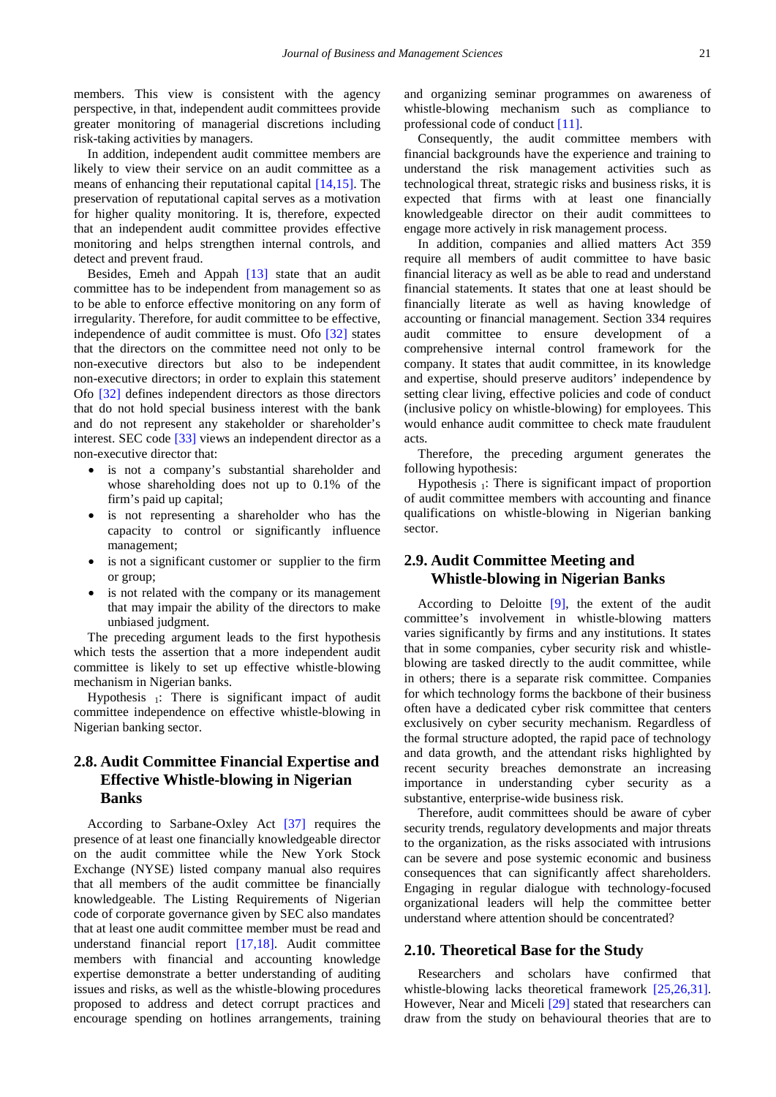members. This view is consistent with the agency perspective, in that, independent audit committees provide greater monitoring of managerial discretions including risk-taking activities by managers.

In addition, independent audit committee members are likely to view their service on an audit committee as a means of enhancing their reputational capital [\[14,15\].](#page-7-11) The preservation of reputational capital serves as a motivation for higher quality monitoring. It is, therefore, expected that an independent audit committee provides effective monitoring and helps strengthen internal controls, and detect and prevent fraud.

Besides, Emeh and Appah [\[13\]](#page-7-12) state that an audit committee has to be independent from management so as to be able to enforce effective monitoring on any form of irregularity. Therefore, for audit committee to be effective, independence of audit committee is must. Ofo [\[32\]](#page-8-9) states that the directors on the committee need not only to be non-executive directors but also to be independent non-executive directors; in order to explain this statement Ofo [\[32\]](#page-8-9) defines independent directors as those directors that do not hold special business interest with the bank and do not represent any stakeholder or shareholder's interest. SEC code [\[33\]](#page-8-1) views an independent director as a non-executive director that:

- is not a company's substantial shareholder and whose shareholding does not up to 0.1% of the firm's paid up capital;
- is not representing a shareholder who has the capacity to control or significantly influence management;
- is not a significant customer or supplier to the firm or group;
- is not related with the company or its management that may impair the ability of the directors to make unbiased judgment.

The preceding argument leads to the first hypothesis which tests the assertion that a more independent audit committee is likely to set up effective whistle-blowing mechanism in Nigerian banks.

Hypothesis  $\frac{1}{1}$ : There is significant impact of audit committee independence on effective whistle-blowing in Nigerian banking sector.

## **2.8. Audit Committee Financial Expertise and Effective Whistle-blowing in Nigerian Banks**

According to Sarbane-Oxley Act [\[37\]](#page-8-10) requires the presence of at least one financially knowledgeable director on the audit committee while the New York Stock Exchange (NYSE) listed company manual also requires that all members of the audit committee be financially knowledgeable. The Listing Requirements of Nigerian code of corporate governance given by SEC also mandates that at least one audit committee member must be read and understand financial report [\[17,18\].](#page-7-6) Audit committee members with financial and accounting knowledge expertise demonstrate a better understanding of auditing issues and risks, as well as the whistle-blowing procedures proposed to address and detect corrupt practices and encourage spending on hotlines arrangements, training

and organizing seminar programmes on awareness of whistle-blowing mechanism such as compliance to professional code of conduct [\[11\].](#page-7-13)

Consequently, the audit committee members with financial backgrounds have the experience and training to understand the risk management activities such as technological threat, strategic risks and business risks, it is expected that firms with at least one financially knowledgeable director on their audit committees to engage more actively in risk management process.

In addition, companies and allied matters Act 359 require all members of audit committee to have basic financial literacy as well as be able to read and understand financial statements. It states that one at least should be financially literate as well as having knowledge of accounting or financial management. Section 334 requires audit committee to ensure development of a comprehensive internal control framework for the company. It states that audit committee, in its knowledge and expertise, should preserve auditors' independence by setting clear living, effective policies and code of conduct (inclusive policy on whistle-blowing) for employees. This would enhance audit committee to check mate fraudulent acts.

Therefore, the preceding argument generates the following hypothesis:

Hypothesis  $\frac{1}{1}$ : There is significant impact of proportion of audit committee members with accounting and finance qualifications on whistle-blowing in Nigerian banking sector.

## **2.9. Audit Committee Meeting and Whistle-blowing in Nigerian Banks**

According to Deloitte [\[9\],](#page-7-14) the extent of the audit committee's involvement in whistle-blowing matters varies significantly by firms and any institutions. It states that in some companies, cyber security risk and whistleblowing are tasked directly to the audit committee, while in others; there is a separate risk committee. Companies for which technology forms the backbone of their business often have a dedicated cyber risk committee that centers exclusively on cyber security mechanism. Regardless of the formal structure adopted, the rapid pace of technology and data growth, and the attendant risks highlighted by recent security breaches demonstrate an increasing importance in understanding cyber security as a substantive, enterprise-wide business risk.

Therefore, audit committees should be aware of cyber security trends, regulatory developments and major threats to the organization, as the risks associated with intrusions can be severe and pose systemic economic and business consequences that can significantly affect shareholders. Engaging in regular dialogue with technology-focused organizational leaders will help the committee better understand where attention should be concentrated?

#### **2.10. Theoretical Base for the Study**

Researchers and scholars have confirmed that whistle-blowing lacks theoretical framework [\[25,26,31\].](#page-7-15) However, Near and Miceli [\[29\]](#page-8-11) stated that researchers can draw from the study on behavioural theories that are to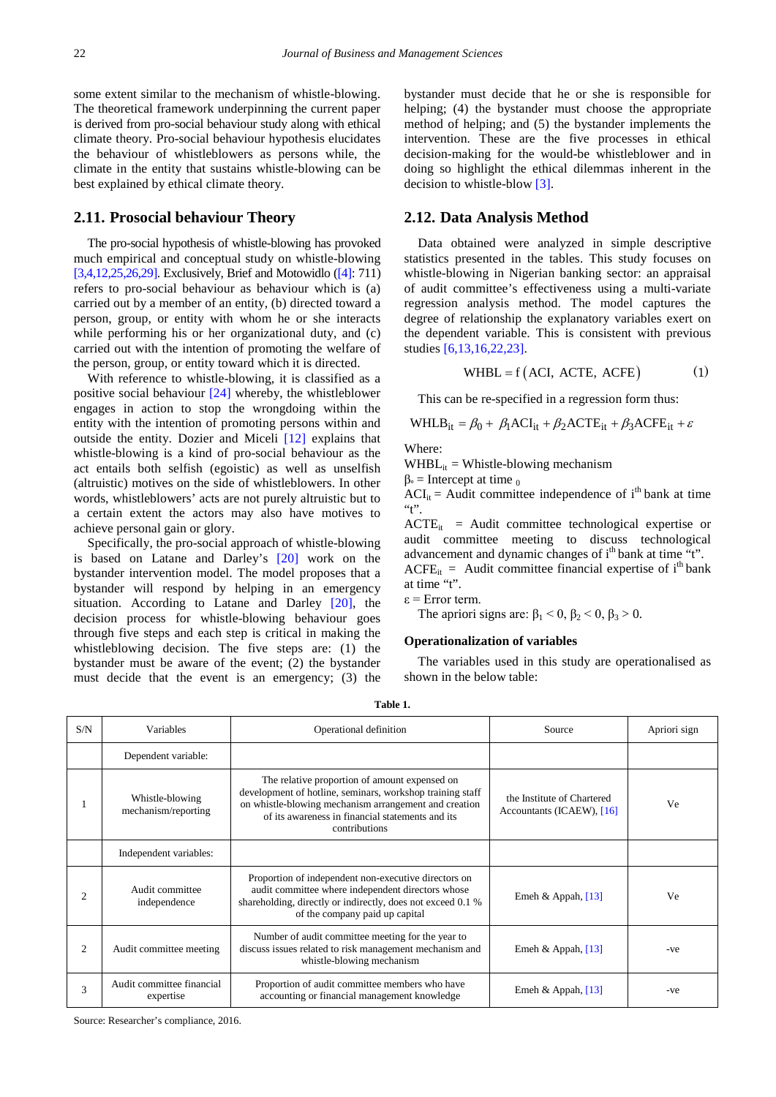some extent similar to the mechanism of whistle-blowing. The theoretical framework underpinning the current paper is derived from pro-social behaviour study along with ethical climate theory. Pro-social behaviour hypothesis elucidates the behaviour of whistleblowers as persons while, the climate in the entity that sustains whistle-blowing can be best explained by ethical climate theory.

#### **2.11. Prosocial behaviour Theory**

The pro-social hypothesis of whistle-blowing has provoked much empirical and conceptual study on whistle-blowing [\[3,4,12,25,26,29\].](#page-7-16) Exclusively, Brief and Motowidlo [\(\[4\]:](#page-7-17) 711) refers to pro-social behaviour as behaviour which is (a) carried out by a member of an entity, (b) directed toward a person, group, or entity with whom he or she interacts while performing his or her organizational duty, and (c) carried out with the intention of promoting the welfare of the person, group, or entity toward which it is directed.

With reference to whistle-blowing, it is classified as a positive social behaviour [\[24\]](#page-7-18) whereby, the whistleblower engages in action to stop the wrongdoing within the entity with the intention of promoting persons within and outside the entity. Dozier and Miceli [\[12\]](#page-7-19) explains that whistle-blowing is a kind of pro-social behaviour as the act entails both selfish (egoistic) as well as unselfish (altruistic) motives on the side of whistleblowers. In other words, whistleblowers' acts are not purely altruistic but to a certain extent the actors may also have motives to achieve personal gain or glory.

Specifically, the pro-social approach of whistle-blowing is based on Latane and Darley's [\[20\]](#page-7-2) work on the bystander intervention model. The model proposes that a bystander will respond by helping in an emergency situation. According to Latane and Darley [\[20\],](#page-7-2) the decision process for whistle-blowing behaviour goes through five steps and each step is critical in making the whistleblowing decision. The five steps are: (1) the bystander must be aware of the event; (2) the bystander must decide that the event is an emergency; (3) the bystander must decide that he or she is responsible for helping; (4) the bystander must choose the appropriate method of helping; and (5) the bystander implements the intervention. These are the five processes in ethical decision-making for the would-be whistleblower and in doing so highlight the ethical dilemmas inherent in the decision to whistle-blow [\[3\].](#page-7-16)

#### **2.12. Data Analysis Method**

Data obtained were analyzed in simple descriptive statistics presented in the tables. This study focuses on whistle-blowing in Nigerian banking sector: an appraisal of audit committee's effectiveness using a multi-variate regression analysis method. The model captures the degree of relationship the explanatory variables exert on the dependent variable. This is consistent with previous studies [\[6,13,16,22,23\].](#page-7-8)

$$
WHBL = f (ACI, ACTE, ACFE)
$$
 (1)

This can be re-specified in a regression form thus:

WHLB<sub>it</sub> = 
$$
\beta_0 + \beta_1 ACI_{it} + \beta_2 ACTE_{it} + \beta_3 ACFE_{it} + \varepsilon
$$

Where:

 $WHBL<sub>it</sub> = Whistle-blowing mechanism$ 

 $β<sub>°</sub> = Intercept at time<sub>0</sub>$ 

 $ACI_{it}$  = Audit committee independence of i<sup>th</sup> bank at time  $``t"$ .

 $ACTE_{it}$  = Audit committee technological expertise or audit committee meeting to discuss technological advancement and dynamic changes of i<sup>th</sup> bank at time "t".  $ACFE_{it}$  = Audit committee financial expertise of i<sup>th</sup> bank at time "t".

ε = Error term.

The apriori signs are:  $\beta_1 < 0$ ,  $\beta_2 < 0$ ,  $\beta_3 > 0$ .

#### **Operationalization of variables**

The variables used in this study are operationalised as shown in the below table:

| ۰.<br>×<br>۰.<br>×<br>$\sim$ |  |
|------------------------------|--|
|------------------------------|--|

| S/N            | Variables                              | Operational definition                                                                                                                                                                                                                   | Source                                                  | Apriori sign |
|----------------|----------------------------------------|------------------------------------------------------------------------------------------------------------------------------------------------------------------------------------------------------------------------------------------|---------------------------------------------------------|--------------|
|                | Dependent variable:                    |                                                                                                                                                                                                                                          |                                                         |              |
|                | Whistle-blowing<br>mechanism/reporting | The relative proportion of amount expensed on<br>development of hotline, seminars, workshop training staff<br>on whistle-blowing mechanism arrangement and creation<br>of its awareness in financial statements and its<br>contributions | the Institute of Chartered<br>Accountants (ICAEW), [16] | Ve           |
|                | Independent variables:                 |                                                                                                                                                                                                                                          |                                                         |              |
| $\mathfrak{D}$ | Audit committee<br>independence        | Proportion of independent non-executive directors on<br>audit committee where independent directors whose<br>shareholding, directly or indirectly, does not exceed 0.1 %<br>of the company paid up capital                               | Emeh & Appah, $[13]$                                    | Ve           |
| $\overline{c}$ | Audit committee meeting                | Number of audit committee meeting for the year to<br>discuss issues related to risk management mechanism and<br>whistle-blowing mechanism                                                                                                | Emeh & Appah, $[13]$                                    | -ve          |
| 3              | Audit committee financial<br>expertise | Proportion of audit committee members who have<br>accounting or financial management knowledge                                                                                                                                           | Emeh & Appah, $[13]$                                    | -ve          |

Source: Researcher's compliance, 2016.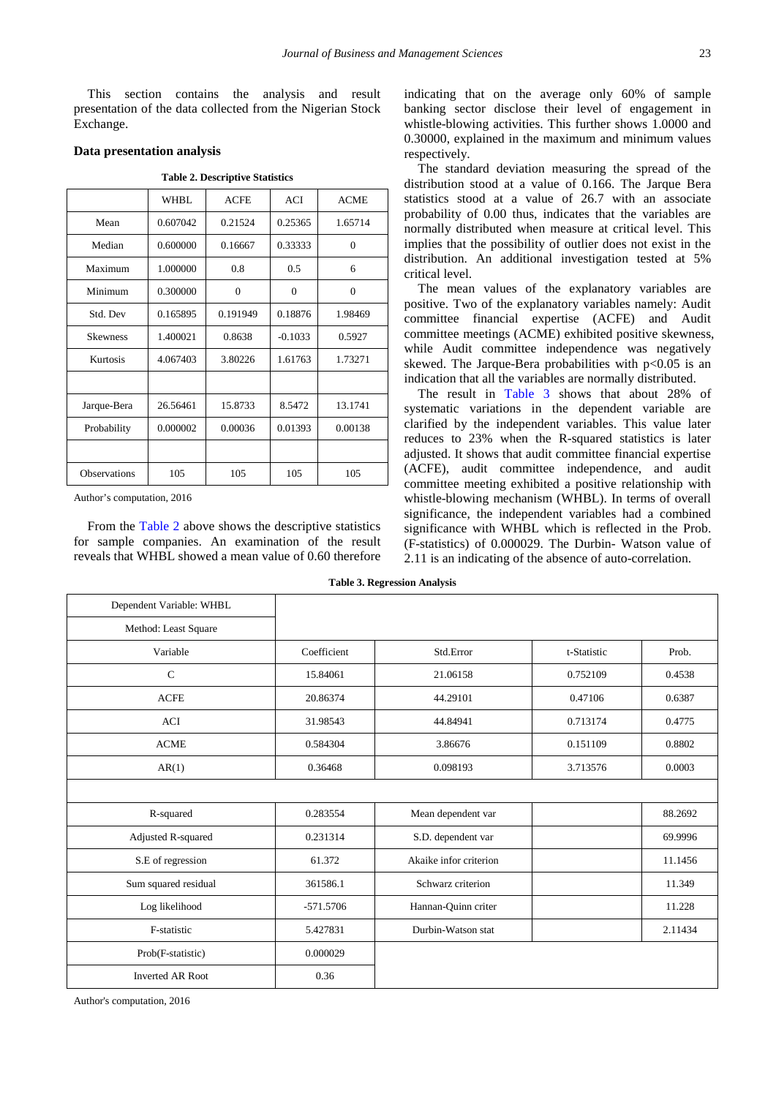This section contains the analysis and result presentation of the data collected from the Nigerian Stock Exchange.

#### **Data presentation analysis**

<span id="page-5-0"></span>

|                     | <b>WHBL</b> | ACFE     | ACI       | <b>ACME</b> |
|---------------------|-------------|----------|-----------|-------------|
| Mean                | 0.607042    | 0.21524  | 0.25365   | 1.65714     |
| Median              | 0.600000    | 0.16667  | 0.33333   | $\theta$    |
| Maximum             | 1.000000    | 0.8      | 0.5       | 6           |
| Minimum             | 0.300000    | $\theta$ | $\theta$  | $\theta$    |
| Std. Dev            | 0.165895    | 0.191949 | 0.18876   | 1.98469     |
| <b>Skewness</b>     | 1.400021    | 0.8638   | $-0.1033$ | 0.5927      |
| Kurtosis            | 4.067403    | 3.80226  | 1.61763   | 1.73271     |
|                     |             |          |           |             |
| Jarque-Bera         | 26.56461    | 15.8733  | 8.5472    | 13.1741     |
| Probability         | 0.000002    | 0.00036  | 0.01393   | 0.00138     |
|                     |             |          |           |             |
| <b>Observations</b> | 105         | 105      | 105       | 105         |

**Table 2. Descriptive Statistics**

Author's computation, 2016

From the [Table 2](#page-5-0) above shows the descriptive statistics for sample companies. An examination of the result reveals that WHBL showed a mean value of 0.60 therefore indicating that on the average only 60% of sample banking sector disclose their level of engagement in whistle-blowing activities. This further shows 1.0000 and 0.30000, explained in the maximum and minimum values respectively.

The standard deviation measuring the spread of the distribution stood at a value of 0.166. The Jarque Bera statistics stood at a value of 26.7 with an associate probability of 0.00 thus, indicates that the variables are normally distributed when measure at critical level. This implies that the possibility of outlier does not exist in the distribution. An additional investigation tested at 5% critical level.

The mean values of the explanatory variables are positive. Two of the explanatory variables namely: Audit committee financial expertise (ACFE) and Audit committee meetings (ACME) exhibited positive skewness, while Audit committee independence was negatively skewed. The Jarque-Bera probabilities with  $p<0.05$  is an indication that all the variables are normally distributed.

The result in [Table 3](#page-5-1) shows that about 28% of systematic variations in the dependent variable are clarified by the independent variables. This value later reduces to 23% when the R-squared statistics is later adjusted. It shows that audit committee financial expertise (ACFE), audit committee independence, and audit committee meeting exhibited a positive relationship with whistle-blowing mechanism (WHBL). In terms of overall significance, the independent variables had a combined significance with WHBL which is reflected in the Prob. (F-statistics) of 0.000029. The Durbin- Watson value of 2.11 is an indicating of the absence of auto-correlation.

<span id="page-5-1"></span>

| Dependent Variable: WHBL |             |                        |             |         |
|--------------------------|-------------|------------------------|-------------|---------|
| Method: Least Square     |             |                        |             |         |
| Variable                 | Coefficient | Std.Error              | t-Statistic | Prob.   |
| $\mathbf C$              | 15.84061    | 21.06158               | 0.752109    | 0.4538  |
| <b>ACFE</b>              | 20.86374    | 44.29101               | 0.47106     | 0.6387  |
| <b>ACI</b>               | 31.98543    | 44.84941               | 0.713174    | 0.4775  |
| <b>ACME</b>              | 0.584304    | 3.86676                | 0.151109    | 0.8802  |
| AR(1)                    | 0.36468     | 0.098193               | 3.713576    | 0.0003  |
|                          |             |                        |             |         |
| R-squared                | 0.283554    | Mean dependent var     |             | 88.2692 |
| Adjusted R-squared       | 0.231314    | S.D. dependent var     |             | 69.9996 |
| S.E of regression        | 61.372      | Akaike infor criterion |             | 11.1456 |
| Sum squared residual     | 361586.1    | Schwarz criterion      |             | 11.349  |
| Log likelihood           | $-571.5706$ | Hannan-Quinn criter    |             | 11.228  |
| F-statistic              | 5.427831    | Durbin-Watson stat     |             | 2.11434 |
| Prob(F-statistic)        | 0.000029    |                        |             |         |
| <b>Inverted AR Root</b>  | 0.36        |                        |             |         |

**Table 3. Regression Analysis**

Author's computation, 2016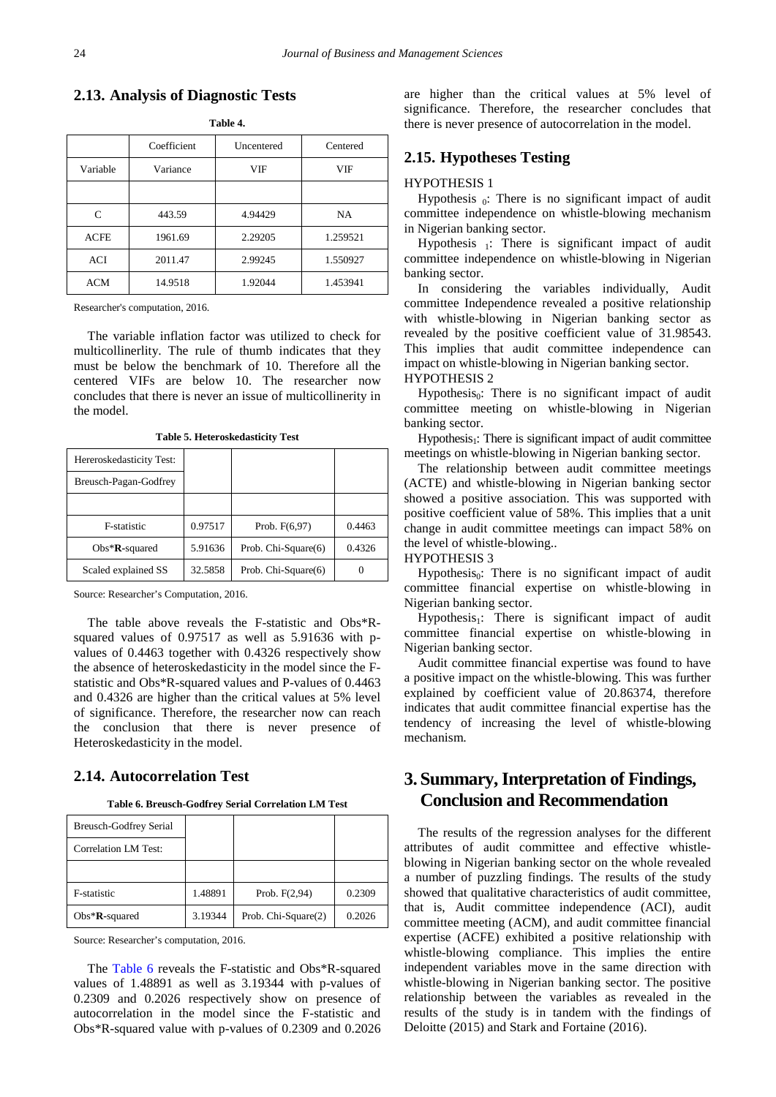**2.13. Analysis of Diagnostic Tests**

|             | Coefficient | Uncentered | Centered  |
|-------------|-------------|------------|-----------|
| Variable    | Variance    | <b>VIF</b> | VIF       |
|             |             |            |           |
| C           | 443.59      | 4.94429    | <b>NA</b> |
| <b>ACFE</b> | 1961.69     | 2.29205    | 1.259521  |
| ACI         | 2011.47     | 2.99245    | 1.550927  |
| ACM         | 14.9518     | 1.92044    | 1.453941  |

**Table 4.**

Researcher's computation, 2016.

The variable inflation factor was utilized to check for multicollinerlity. The rule of thumb indicates that they must be below the benchmark of 10. Therefore all the centered VIFs are below 10. The researcher now concludes that there is never an issue of multicollinerity in the model.

**Table 5. Heteroskedasticity Test**

| Hereroskedasticity Test: |         |                     |        |
|--------------------------|---------|---------------------|--------|
| Breusch-Pagan-Godfrey    |         |                     |        |
|                          |         |                     |        |
| <b>F-statistic</b>       | 0.97517 | Prob. $F(6,97)$     | 0.4463 |
| $Obs*R$ -squared         | 5.91636 | Prob. Chi-Square(6) | 0.4326 |
| Scaled explained SS      | 32.5858 | Prob. Chi-Square(6) |        |

Source: Researcher's Computation, 2016.

The table above reveals the F-statistic and Obs\*Rsquared values of 0.97517 as well as 5.91636 with pvalues of 0.4463 together with 0.4326 respectively show the absence of heteroskedasticity in the model since the Fstatistic and Obs\*R-squared values and P-values of 0.4463 and 0.4326 are higher than the critical values at 5% level of significance. Therefore, the researcher now can reach the conclusion that there is never presence of Heteroskedasticity in the model.

## **2.14. Autocorrelation Test**

**Table 6. Breusch-Godfrey Serial Correlation LM Test**

<span id="page-6-0"></span>

| <b>Breusch-Godfrey Serial</b> |         |                     |        |
|-------------------------------|---------|---------------------|--------|
| Correlation LM Test:          |         |                     |        |
|                               |         |                     |        |
| <b>F-statistic</b>            | 1.48891 | Prob. $F(2,94)$     | 0.2309 |
| $Obs*R$ -squared              | 3.19344 | Prob. Chi-Square(2) | 0.2026 |

Source: Researcher's computation, 2016.

The [Table 6](#page-6-0) reveals the F-statistic and Obs\*R-squared values of 1.48891 as well as 3.19344 with p-values of 0.2309 and 0.2026 respectively show on presence of autocorrelation in the model since the F-statistic and Obs\*R-squared value with p-values of 0.2309 and 0.2026 are higher than the critical values at 5% level of significance. Therefore, the researcher concludes that there is never presence of autocorrelation in the model.

## **2.15. Hypotheses Testing**

#### HYPOTHESIS 1

Hypothesis  $_0$ : There is no significant impact of audit committee independence on whistle-blowing mechanism in Nigerian banking sector.

Hypothesis  $\frac{1}{1}$ : There is significant impact of audit committee independence on whistle-blowing in Nigerian banking sector.

In considering the variables individually, Audit committee Independence revealed a positive relationship with whistle-blowing in Nigerian banking sector as revealed by the positive coefficient value of 31.98543. This implies that audit committee independence can impact on whistle-blowing in Nigerian banking sector. HYPOTHESIS 2

Hypothesis $_0$ : There is no significant impact of audit committee meeting on whistle-blowing in Nigerian banking sector.

 $Hypothesis<sub>1</sub>$ : There is significant impact of audit committee meetings on whistle-blowing in Nigerian banking sector.

The relationship between audit committee meetings (ACTE) and whistle-blowing in Nigerian banking sector showed a positive association. This was supported with positive coefficient value of 58%. This implies that a unit change in audit committee meetings can impact 58% on the level of whistle-blowing..

#### HYPOTHESIS 3

Hypothesis $_0$ : There is no significant impact of audit committee financial expertise on whistle-blowing in Nigerian banking sector.

Hypothesis<sub>1</sub>: There is significant impact of audit committee financial expertise on whistle-blowing in Nigerian banking sector.

Audit committee financial expertise was found to have a positive impact on the whistle-blowing. This was further explained by coefficient value of 20.86374, therefore indicates that audit committee financial expertise has the tendency of increasing the level of whistle-blowing mechanism.

# **3. Summary, Interpretation of Findings, Conclusion and Recommendation**

The results of the regression analyses for the different attributes of audit committee and effective whistleblowing in Nigerian banking sector on the whole revealed a number of puzzling findings. The results of the study showed that qualitative characteristics of audit committee, that is, Audit committee independence (ACI), audit committee meeting (ACM), and audit committee financial expertise (ACFE) exhibited a positive relationship with whistle-blowing compliance. This implies the entire independent variables move in the same direction with whistle-blowing in Nigerian banking sector. The positive relationship between the variables as revealed in the results of the study is in tandem with the findings of Deloitte (2015) and Stark and Fortaine (2016).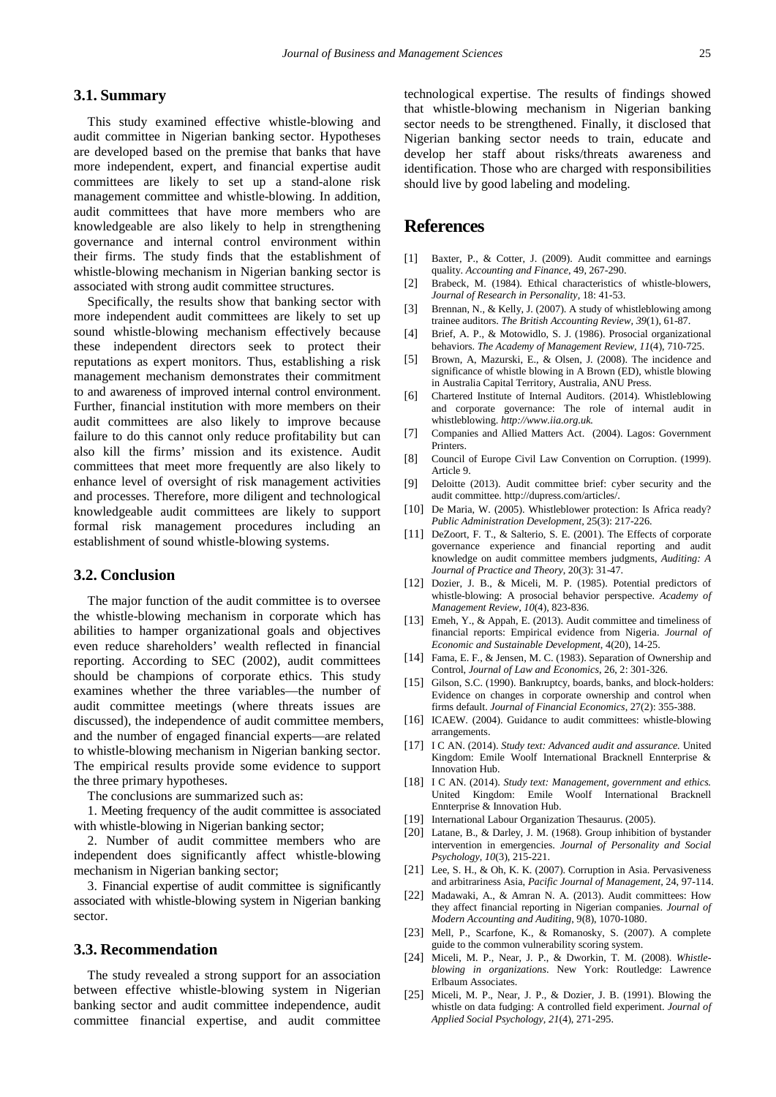## **3.1. Summary**

This study examined effective whistle-blowing and audit committee in Nigerian banking sector. Hypotheses are developed based on the premise that banks that have more independent, expert, and financial expertise audit committees are likely to set up a stand-alone risk management committee and whistle-blowing. In addition, audit committees that have more members who are knowledgeable are also likely to help in strengthening governance and internal control environment within their firms. The study finds that the establishment of whistle-blowing mechanism in Nigerian banking sector is associated with strong audit committee structures.

Specifically, the results show that banking sector with more independent audit committees are likely to set up sound whistle-blowing mechanism effectively because these independent directors seek to protect their reputations as expert monitors. Thus, establishing a risk management mechanism demonstrates their commitment to and awareness of improved internal control environment. Further, financial institution with more members on their audit committees are also likely to improve because failure to do this cannot only reduce profitability but can also kill the firms' mission and its existence. Audit committees that meet more frequently are also likely to enhance level of oversight of risk management activities and processes. Therefore, more diligent and technological knowledgeable audit committees are likely to support formal risk management procedures including an establishment of sound whistle-blowing systems.

## **3.2. Conclusion**

The major function of the audit committee is to oversee the whistle-blowing mechanism in corporate which has abilities to hamper organizational goals and objectives even reduce shareholders' wealth reflected in financial reporting. According to SEC (2002), audit committees should be champions of corporate ethics. This study examines whether the three variables—the number of audit committee meetings (where threats issues are discussed), the independence of audit committee members, and the number of engaged financial experts—are related to whistle-blowing mechanism in Nigerian banking sector. The empirical results provide some evidence to support the three primary hypotheses.

The conclusions are summarized such as:

1. Meeting frequency of the audit committee is associated with whistle-blowing in Nigerian banking sector;

2. Number of audit committee members who are independent does significantly affect whistle-blowing mechanism in Nigerian banking sector;

3. Financial expertise of audit committee is significantly associated with whistle-blowing system in Nigerian banking sector.

#### **3.3. Recommendation**

The study revealed a strong support for an association between effective whistle-blowing system in Nigerian banking sector and audit committee independence, audit committee financial expertise, and audit committee technological expertise. The results of findings showed that whistle-blowing mechanism in Nigerian banking sector needs to be strengthened. Finally, it disclosed that Nigerian banking sector needs to train, educate and develop her staff about risks/threats awareness and identification. Those who are charged with responsibilities should live by good labeling and modeling.

# **References**

- <span id="page-7-10"></span>[1] Baxter, P., & Cotter, J. (2009). Audit committee and earnings quality. *Accounting and Finance*, 49, 267-290.
- <span id="page-7-3"></span>[2] Brabeck, M. (1984). Ethical characteristics of whistle-blowers, *Journal of Research in Personality,* 18: 41-53.
- <span id="page-7-16"></span>[3] Brennan, N., & Kelly, J. (2007). A study of whistleblowing among trainee auditors. *The British Accounting Review, 39*(1), 61-87.
- <span id="page-7-17"></span>[4] Brief, A. P., & Motowidlo, S. J. (1986). Prosocial organizational behaviors. *The Academy of Management Review, 11*(4), 710-725.
- <span id="page-7-1"></span>[5] Brown, A, Mazurski, E., & Olsen, J. (2008). The incidence and significance of whistle blowing in A Brown (ED), whistle blowing in Australia Capital Territory, Australia, ANU Press.
- <span id="page-7-8"></span>[6] Chartered Institute of Internal Auditors. (2014). Whistleblowing and corporate governance: The role of internal audit in whistleblowing. *http://www.iia.org.uk.*
- <span id="page-7-9"></span>[7] Companies and Allied Matters Act. (2004). Lagos: Government Printers.
- <span id="page-7-5"></span>[8] Council of Europe Civil Law Convention on Corruption. (1999). Article 9.
- <span id="page-7-14"></span>[9] Deloitte (2013). Audit committee brief: cyber security and the audit committee. http://dupress.com/articles/.
- <span id="page-7-0"></span>[10] De Maria, W. (2005). Whistleblower protection: Is Africa ready? *Public Administration Development,* 25(3): 217-226.
- <span id="page-7-13"></span>[11] DeZoort, F. T., & Salterio, S. E. (2001). The Effects of corporate governance experience and financial reporting and audit knowledge on audit committee members judgments, *Auditing: A Journal of Practice and Theory*, 20(3): 31-47.
- <span id="page-7-19"></span>[12] Dozier, J. B., & Miceli, M. P. (1985). Potential predictors of whistle-blowing: A prosocial behavior perspective. *Academy of Management Review, 10*(4), 823-836.
- <span id="page-7-12"></span>[13] Emeh, Y., & Appah, E. (2013). Audit committee and timeliness of financial reports: Empirical evidence from Nigeria. *Journal of Economic and Sustainable Development*, 4(20), 14-25.
- <span id="page-7-11"></span>[14] Fama, E. F., & Jensen, M. C. (1983). Separation of Ownership and Control, *Journal of Law and Economics*, 26, 2: 301-326.
- [15] Gilson, S.C. (1990). Bankruptcy, boards, banks, and block-holders: Evidence on changes in corporate ownership and control when firms default. *Journal of Financial Economics*, 27(2): 355-388.
- <span id="page-7-20"></span>[16] ICAEW. (2004). Guidance to audit committees: whistle-blowing arrangements.
- <span id="page-7-6"></span>[17] I C AN. (2014). *Study text: Advanced audit and assurance.* United Kingdom: Emile Woolf International Bracknell Ennterprise & Innovation Hub.
- <span id="page-7-7"></span>[18] I C AN. (2014). *Study text: Management, government and ethics.* United Kingdom: Emile Woolf International Bracknell Ennterprise & Innovation Hub.
- <span id="page-7-4"></span>[19] International Labour Organization Thesaurus. (2005).
- <span id="page-7-2"></span>[20] Latane, B., & Darley, J. M. (1968). Group inhibition of bystander intervention in emergencies. *Journal of Personality and Social Psychology, 10*(3), 215-221.
- [21] Lee, S. H., & Oh, K. K. (2007). Corruption in Asia. Pervasiveness and arbitrariness Asia, *Pacific Journal of Management,* 24, 97-114.
- [22] Madawaki, A., & Amran N. A. (2013). Audit committees: How they affect financial reporting in Nigerian companies. *Journal of Modern Accounting and Auditing*, 9(8), 1070-1080.
- [23] Mell, P., Scarfone, K., & Romanosky, S. (2007). A complete guide to the common vulnerability scoring system.
- <span id="page-7-18"></span>[24] Miceli, M. P., Near, J. P., & Dworkin, T. M. (2008). *Whistleblowing in organizations*. New York: Routledge: Lawrence Erlbaum Associates.
- <span id="page-7-15"></span>[25] Miceli, M. P., Near, J. P., & Dozier, J. B. (1991). Blowing the whistle on data fudging: A controlled field experiment. *Journal of Applied Social Psychology, 21*(4), 271-295.